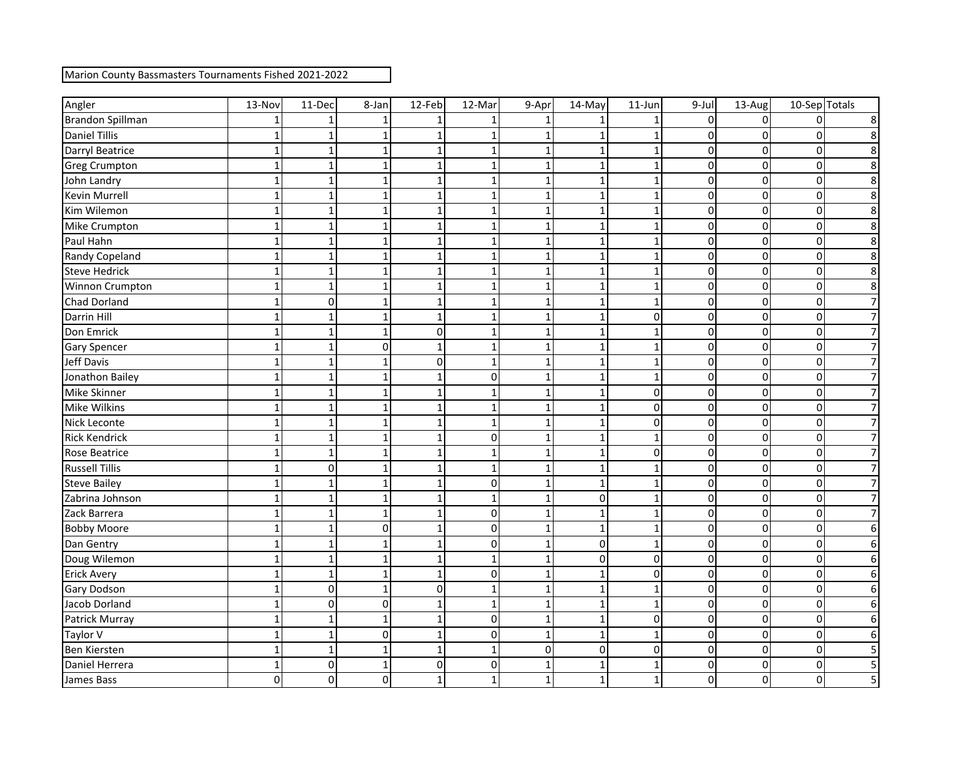| Marion County Bassmasters Tournaments Fished 2021-2022 |  |  |  |  |
|--------------------------------------------------------|--|--|--|--|
|--------------------------------------------------------|--|--|--|--|

| Angler                | 13-Nov       | 11-Dec         | 8-Jan       | 12-Feb         | 12-Mar       | 9-Apr          | 14-May         | $11$ -Jun      | $9$ -Jul       | 13-Aug         | 10-Sep Totals |                |
|-----------------------|--------------|----------------|-------------|----------------|--------------|----------------|----------------|----------------|----------------|----------------|---------------|----------------|
| Brandon Spillman      |              |                |             |                |              |                |                |                | 0              | $\Omega$       |               |                |
| <b>Daniel Tillis</b>  |              | 1              |             |                |              |                |                |                | 0              | 0              | O             |                |
| Darryl Beatrice       |              | $\mathbf{1}$   |             |                |              |                |                |                | 0              | 0              |               |                |
| <b>Greg Crumpton</b>  |              | $\mathbf{1}$   |             | 1              |              |                |                |                | $\Omega$       | 0              |               |                |
| John Landry           |              | $\mathbf{1}$   | 1           | 1              |              |                |                |                | 0              | 0              | $\Omega$      | 8              |
| Kevin Murrell         |              | $\mathbf{1}$   | 1           | 1              |              | 1              |                |                | 0              | 0              |               |                |
| Kim Wilemon           |              | $\mathbf{1}$   |             | 1              |              |                |                |                | $\Omega$       | 0              | O             | 8              |
| Mike Crumpton         |              | $\mathbf{1}$   |             | 1              |              |                |                |                | 0              | 0              |               |                |
| Paul Hahn             |              | $\mathbf{1}$   |             | 1              |              |                |                |                | 0              | 0              |               |                |
| Randy Copeland        |              | $\mathbf{1}$   | 1           | 1              |              |                |                |                | 0              | 0              | 0             | 8              |
| Steve Hedrick         |              | 1              |             | 1              |              |                |                |                | 0              | 0              | 0             |                |
| Winnon Crumpton       |              | $\mathbf{1}$   |             | 1              |              |                |                |                | $\Omega$       | 0              |               | 8              |
| <b>Chad Dorland</b>   |              | $\mathbf 0$    |             | 1              |              |                |                |                | 0              | 0              |               |                |
| Darrin Hill           |              | $\mathbf{1}$   |             | $\mathbf{1}$   |              |                |                | 0              | 0              | 0              |               |                |
| Don Emrick            |              | $\mathbf{1}$   | 1           | 0              |              |                |                |                | 0              | 0              | O             |                |
| <b>Gary Spencer</b>   |              | $\mathbf{1}$   | 0           | $\mathbf{1}$   |              |                |                |                | 0              | 0              | 0             |                |
| Jeff Davis            |              | 1              |             | 0              |              |                |                |                | 0              | 0              |               |                |
| Jonathon Bailey       |              | $\mathbf{1}$   |             |                | 0            |                |                |                | $\Omega$       | 0              |               |                |
| Mike Skinner          |              | $\mathbf{1}$   |             | 1              |              |                |                | 0              | $\overline{0}$ | 0              |               |                |
| Mike Wilkins          |              | $\mathbf{1}$   | 1           | 1              |              |                |                | 0              | 0              | 0              | O             |                |
| Nick Leconte          |              | $\mathbf{1}$   |             | 1              |              |                |                | 0              | 0              | 0              | 0             |                |
| <b>Rick Kendrick</b>  |              | $\mathbf{1}$   |             |                | $\Omega$     |                |                |                | 0              | 0              |               |                |
| <b>Rose Beatrice</b>  |              | $\mathbf{1}$   |             | 1              |              |                |                | 0              | 0              | 0              | O             |                |
| <b>Russell Tillis</b> |              | $\pmb{0}$      | 1           | $\mathbf{1}$   |              |                |                |                | 0              | 0              | O             |                |
| <b>Steve Bailey</b>   |              | $\mathbf{1}$   | 1           | 1              | 0            |                | 1              |                | 0              | 0              | $\Omega$      |                |
| Zabrina Johnson       |              | $\mathbf{1}$   | 1           | 1              |              |                | $\overline{0}$ |                | 0              | 0              | 0             |                |
| Zack Barrera          |              | $\mathbf{1}$   | 1           | 1              | $\mathbf 0$  |                |                |                | $\Omega$       | 0              | O             |                |
| <b>Bobby Moore</b>    |              | $\mathbf{1}$   | 0           | 1              | 0            |                |                |                | 0              | 0              | 0             |                |
| Dan Gentry            |              | $\mathbf{1}$   | 1           | $\mathbf{1}$   | 0            |                | $\overline{0}$ | 1              | $\overline{0}$ | 0              | 0             | 6              |
| Doug Wilemon          |              | $\mathbf{1}$   | 1           | 1              | $\mathbf{1}$ | 1              | $\overline{0}$ | 0              | 01             | 0              | 0             | 6              |
| <b>Erick Avery</b>    | $\mathbf 1$  | $1\vert$       | $\mathbf 1$ | $\mathbf{1}$   | 0            | 1              | $1\vert$       | $\overline{0}$ | $\overline{0}$ | 0              | 0             | $6 \mid$       |
| <b>Gary Dodson</b>    | $\mathbf{1}$ | $\overline{0}$ | 1           | $\overline{0}$ |              | $\mathbf{1}$   | $\mathbf{1}$   |                | οI             | $\overline{0}$ | 0             | $6 \mid$       |
| Jacob Dorland         |              | $\overline{0}$ | 0           | $\mathbf{1}$   | 1            |                |                |                | $\overline{0}$ | $\overline{0}$ | 0             | 6 <sup>1</sup> |
| Patrick Murray        |              | $\mathbf 1$    | $\mathbf 1$ | $\mathbf{1}$   | 0            | $\mathbf{1}$   |                | $\pmb{0}$      | $\overline{0}$ | 0              | 0             | 6 <sup>1</sup> |
| Taylor V              | $\mathbf{1}$ | $\mathbf 1$    | 0           | $\mathbf 1$    | 0            | $\mathbf{1}$   | $1\vert$       | $\mathbf{1}$   | $\overline{0}$ | 0              | 0             | $\overline{6}$ |
| Ben Kiersten          | $\mathbf{1}$ | $\mathbf{1}$   | $\mathbf 1$ | $\mathbf 1$    | $\mathbf{1}$ | $\overline{0}$ | $\overline{0}$ | $\pmb{0}$      | $\overline{0}$ | 0              | 0             | $\overline{5}$ |
| Daniel Herrera        | $\mathbf{1}$ | $\overline{0}$ | $\mathbf 1$ | 0              | 0            | $\mathbf{1}$   | $\mathbf 1$    | ${\bf 1}$      | $\overline{0}$ | 0              | 0             | $\mathsf{S}$   |
| James Bass            | $\pmb{0}$    | $\overline{0}$ | 0           | $\mathbf 1$    | $\mathbf{1}$ | $\mathbf 1$    | $\mathbf 1$    | $\overline{1}$ | $\overline{O}$ | 0              | 0             | $\overline{5}$ |